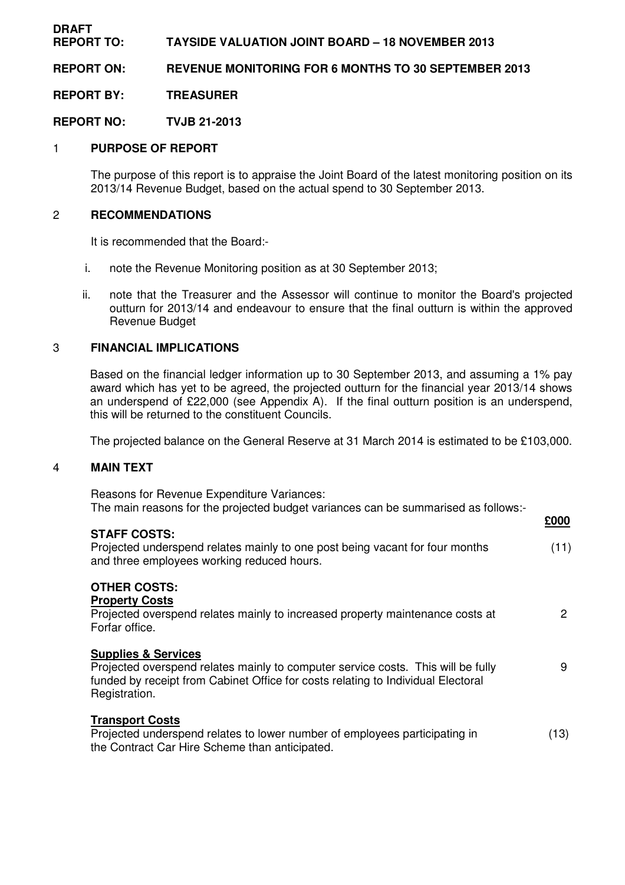#### **DRAFT REPORT TO: TAYSIDE VALUATION JOINT BOARD – 18 NOVEMBER 2013**

**REPORT ON: REVENUE MONITORING FOR 6 MONTHS TO 30 SEPTEMBER 2013** 

**REPORT BY: TREASURER** 

**REPORT NO: TVJB 21-2013** 

# 1 **PURPOSE OF REPORT**

 The purpose of this report is to appraise the Joint Board of the latest monitoring position on its 2013/14 Revenue Budget, based on the actual spend to 30 September 2013.

#### 2 **RECOMMENDATIONS**

It is recommended that the Board:-

- i. note the Revenue Monitoring position as at 30 September 2013;
- ii. note that the Treasurer and the Assessor will continue to monitor the Board's projected outturn for 2013/14 and endeavour to ensure that the final outturn is within the approved Revenue Budget

### 3 **FINANCIAL IMPLICATIONS**

 Based on the financial ledger information up to 30 September 2013, and assuming a 1% pay award which has yet to be agreed, the projected outturn for the financial year 2013/14 shows an underspend of £22,000 (see Appendix A). If the final outturn position is an underspend, this will be returned to the constituent Councils.

The projected balance on the General Reserve at 31 March 2014 is estimated to be £103,000.

## 4 **MAIN TEXT**

 Reasons for Revenue Expenditure Variances: The main reasons for the projected budget variances can be summarised as follows:-

|                                                                                                                                                                                       | <b>£000</b> |
|---------------------------------------------------------------------------------------------------------------------------------------------------------------------------------------|-------------|
| <b>STAFF COSTS:</b><br>Projected underspend relates mainly to one post being vacant for four months<br>and three employees working reduced hours.                                     | (11)        |
| <b>OTHER COSTS:</b><br><b>Property Costs</b>                                                                                                                                          |             |
| Projected overspend relates mainly to increased property maintenance costs at<br>Forfar office.                                                                                       | 2           |
| <b>Supplies &amp; Services</b>                                                                                                                                                        |             |
| Projected overspend relates mainly to computer service costs. This will be fully<br>funded by receipt from Cabinet Office for costs relating to Individual Electoral<br>Registration. | 9           |
| <b>Transport Costs</b>                                                                                                                                                                |             |
| Projected underspend relates to lower number of employees participating in<br>the Contract Car Hire Scheme than anticipated.                                                          | (13)        |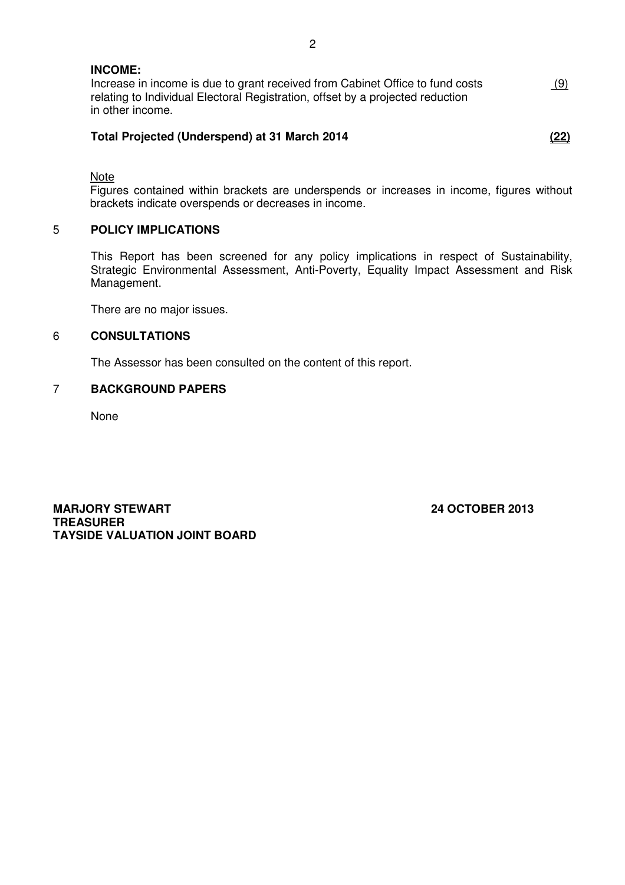| <b>INCOME:</b>                                                                                                                                                  |     |
|-----------------------------------------------------------------------------------------------------------------------------------------------------------------|-----|
| Increase in income is due to grant received from Cabinet Office to fund costs<br>relating to Individual Electoral Registration, offset by a projected reduction | (9) |
| in other income.                                                                                                                                                |     |

## **Total Projected (Underspend) at 31 March 2014 (22)**

Note

 Figures contained within brackets are underspends or increases in income, figures without brackets indicate overspends or decreases in income.

## 5 **POLICY IMPLICATIONS**

This Report has been screened for any policy implications in respect of Sustainability, Strategic Environmental Assessment, Anti-Poverty, Equality Impact Assessment and Risk Management.

There are no major issues.

#### 6 **CONSULTATIONS**

The Assessor has been consulted on the content of this report.

## 7 **BACKGROUND PAPERS**

None

**MARJORY STEWART 24 OCTOBER 2013 TREASURER TAYSIDE VALUATION JOINT BOARD**